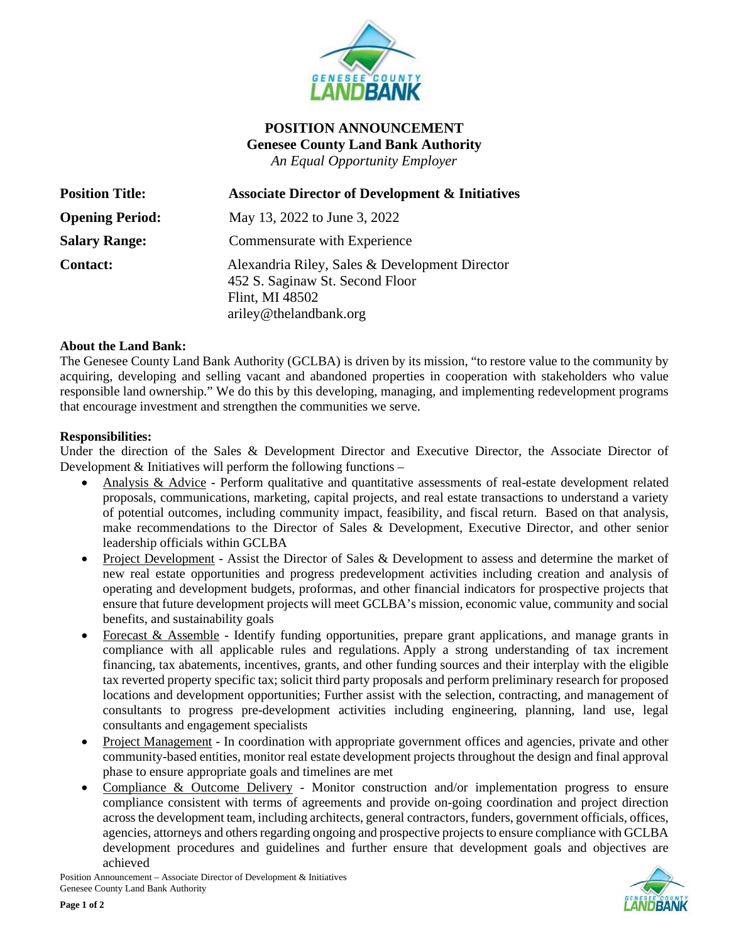

# **POSITION ANNOUNCEMENT Genesee County Land Bank Authority** *An Equal Opportunity Employer*

| <b>Position Title:</b> | <b>Associate Director of Development &amp; Initiatives</b>                                                                     |
|------------------------|--------------------------------------------------------------------------------------------------------------------------------|
| <b>Opening Period:</b> | May 13, 2022 to June 3, 2022                                                                                                   |
| <b>Salary Range:</b>   | Commensurate with Experience                                                                                                   |
| <b>Contact:</b>        | Alexandria Riley, Sales & Development Director<br>452 S. Saginaw St. Second Floor<br>Flint, MI 48502<br>ariley@thelandbank.org |

## **About the Land Bank:**

The Genesee County Land Bank Authority (GCLBA) is driven by its mission, "to restore value to the community by acquiring, developing and selling vacant and abandoned properties in cooperation with stakeholders who value responsible land ownership." We do this by this developing, managing, and implementing redevelopment programs that encourage investment and strengthen the communities we serve.

#### **Responsibilities:**

Under the direction of the Sales & Development Director and Executive Director, the Associate Director of Development  $&$  Initiatives will perform the following functions –

- Analysis & Advice Perform qualitative and quantitative assessments of real-estate development related proposals, communications, marketing, capital projects, and real estate transactions to understand a variety of potential outcomes, including community impact, feasibility, and fiscal return. Based on that analysis, make recommendations to the Director of Sales & Development, Executive Director, and other senior leadership officials within GCLBA
- Project Development Assist the Director of Sales & Development to assess and determine the market of new real estate opportunities and progress predevelopment activities including creation and analysis of operating and development budgets, proformas, and other financial indicators for prospective projects that ensure that future development projects will meet GCLBA's mission, economic value, community and social benefits, and sustainability goals
- Forecast & Assemble Identify funding opportunities, prepare grant applications, and manage grants in compliance with all applicable rules and regulations. Apply a strong understanding of tax increment financing, tax abatements, incentives, grants, and other funding sources and their interplay with the eligible tax reverted property specific tax; solicit third party proposals and perform preliminary research for proposed locations and development opportunities; Further assist with the selection, contracting, and management of consultants to progress pre-development activities including engineering, planning, land use, legal consultants and engagement specialists
- Project Management In coordination with appropriate government offices and agencies, private and other community-based entities, monitor real estate development projects throughout the design and final approval phase to ensure appropriate goals and timelines are met
- Compliance & Outcome Delivery Monitor construction and/or implementation progress to ensure compliance consistent with terms of agreements and provide on-going coordination and project direction across the development team, including architects, general contractors, funders, government officials, offices, agencies, attorneys and others regarding ongoing and prospective projects to ensure compliance with GCLBA development procedures and guidelines and further ensure that development goals and objectives are achieved